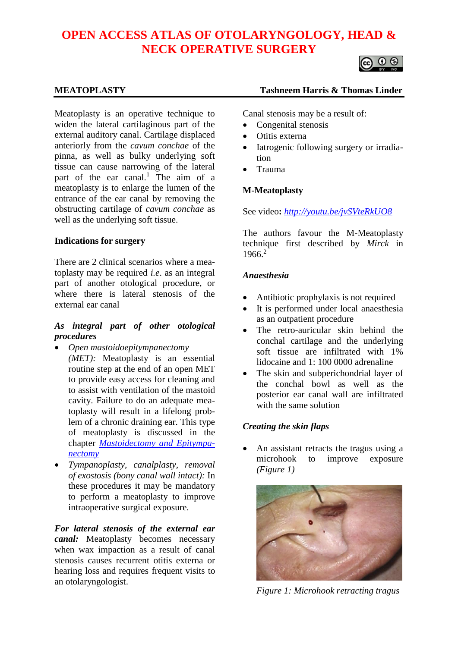# **OPEN ACCESS ATLAS OF OTOLARYNGOLOGY, HEAD & NECK OPERATIVE SURGERY**



Meatoplasty is an operative technique to widen the lateral cartilaginous part of the external auditory canal. Cartilage displaced anteriorly from the *cavum conchae* of the pinna, as well as bulky underlying soft tissue can cause narrowing of the lateral part of the ear canal.<sup>1</sup> The aim of a meatoplasty is to enlarge the lumen of the entrance of the ear canal by removing the obstructing cartilage of *cavum conchae* as well as the underlying soft tissue.

## **Indications for surgery**

There are 2 clinical scenarios where a meatoplasty may be required *i.e*. as an integral part of another otological procedure, or where there is lateral stenosis of the external ear canal

# *As integral part of other otological procedures*

- *Open mastoidoepitympanectomy (MET):* Meatoplasty is an essential routine step at the end of an open MET to provide easy access for cleaning and to assist with ventilation of the mastoid cavity. Failure to do an adequate meatoplasty will result in a lifelong problem of a chronic draining ear. This type of meatoplasty is discussed in the chapter *[Mastoidectomy and Epitympa](https://vula.uct.ac.za/access/content/group/ba5fb1bd-be95-48e5-81be-586fbaeba29d/Mastoidectomy%20and%20epitympanectomy.pdf)[nectomy](https://vula.uct.ac.za/access/content/group/ba5fb1bd-be95-48e5-81be-586fbaeba29d/Mastoidectomy%20and%20epitympanectomy.pdf)*
- *Tympanoplasty, canalplasty, removal of exostosis (bony canal wall intact):* In these procedures it may be mandatory to perform a meatoplasty to improve intraoperative surgical exposure.

*For lateral stenosis of the external ear canal:* Meatoplasty becomes necessary when wax impaction as a result of canal stenosis causes recurrent otitis externa or hearing loss and requires frequent visits to an otolaryngologist.

## **MEATOPLASTY Tashneem Harris & Thomas Linder**

Canal stenosis may be a result of:

- Congenital stenosis
- Otitis externa
- Iatrogenic following surgery or irradiation
- Trauma

# **M-Meatoplasty**

See video**:** *<http://youtu.be/jvSVteRkUO8>*

The authors favour the M-Meatoplasty technique first described by *Mirck* in 1966.<sup>2</sup>

## *Anaesthesia*

- Antibiotic prophylaxis is not required
- It is performed under local anaesthesia as an outpatient procedure
- The retro-auricular skin behind the conchal cartilage and the underlying soft tissue are infiltrated with 1% lidocaine and 1: 100 0000 adrenaline
- The skin and subperichondrial layer of the conchal bowl as well as the posterior ear canal wall are infiltrated with the same solution

## *Creating the skin flaps*

An assistant retracts the tragus using a microhook to improve exposure *(Figure 1)*



*Figure 1: Microhook retracting tragus*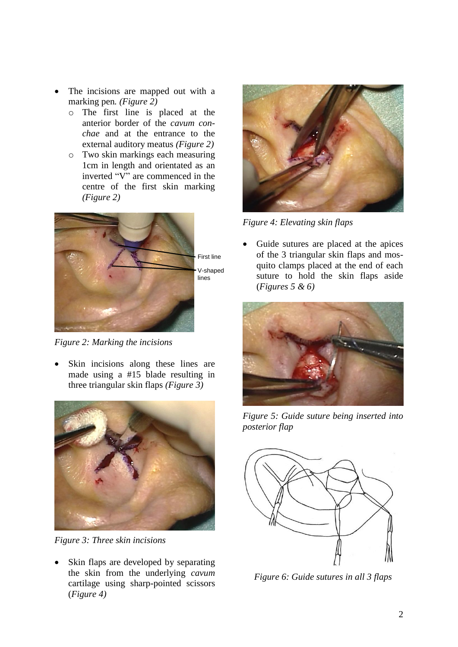- The incisions are mapped out with a marking pen*. (Figure 2)*
	- o The first line is placed at the anterior border of the *cavum conchae* and at the entrance to the external auditory meatus *(Figure 2)*
	- o Two skin markings each measuring 1cm in length and orientated as an inverted "V" are commenced in the centre of the first skin marking *(Figure 2)*



*Figure 2: Marking the incisions*

Skin incisions along these lines are made using a #15 blade resulting in three triangular skin flaps *(Figure 3)*



*Figure 3: Three skin incisions*

Skin flaps are developed by separating the skin from the underlying *cavum*  cartilage using sharp-pointed scissors (*Figure 4)*



*Figure 4: Elevating skin flaps*

• Guide sutures are placed at the apices of the 3 triangular skin flaps and mosquito clamps placed at the end of each suture to hold the skin flaps aside (*Figures 5 & 6)*



*Figure 5: Guide suture being inserted into posterior flap*



*Figure 6: Guide sutures in all 3 flaps*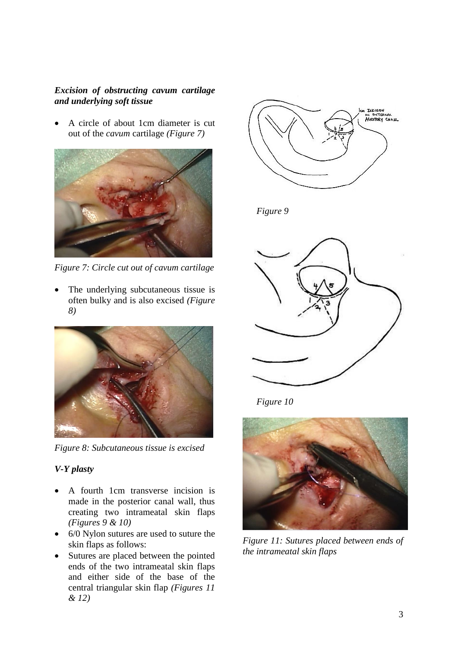# *Excision of obstructing cavum cartilage and underlying soft tissue*

• A circle of about 1cm diameter is cut out of the *cavum* cartilage *(Figure 7)*



*Figure 7: Circle cut out of cavum cartilage*

The underlying subcutaneous tissue is often bulky and is also excised *(Figure 8)*



*Figure 8: Subcutaneous tissue is excised*

# *V-Y plasty*

- A fourth 1cm transverse incision is made in the posterior canal wall, thus creating two intrameatal skin flaps *(Figures 9 & 10)*
- 6/0 Nylon sutures are used to suture the skin flaps as follows:
- Sutures are placed between the pointed ends of the two intrameatal skin flaps and either side of the base of the central triangular skin flap *(Figures 11 & 12)*







*Figure 10*



*Figure 11: Sutures placed between ends of the intrameatal skin flaps*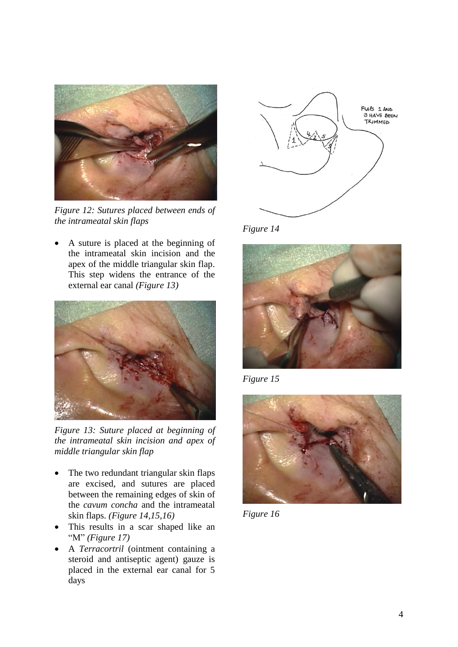

*Figure 12: Sutures placed between ends of the intrameatal skin flaps*

• A suture is placed at the beginning of the intrameatal skin incision and the apex of the middle triangular skin flap. This step widens the entrance of the external ear canal *(Figure 13)*



*Figure 13: Suture placed at beginning of the intrameatal skin incision and apex of middle triangular skin flap*

- The two redundant triangular skin flaps are excised, and sutures are placed between the remaining edges of skin of the *cavum concha* and the intrameatal skin flaps. *(Figure 14,15,16)*
- This results in a scar shaped like an "M" *(Figure 17)*
- A *Terracortril* (ointment containing a steroid and antiseptic agent) gauze is placed in the external ear canal for 5 days



*Figure 14*



*Figure 15*



*Figure 16*